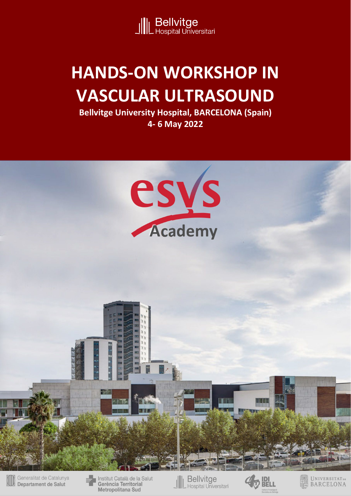

# **HANDS-ON WORKSHOP IN VASCULAR ULTRASOUND**

**Bellvitge University Hospital, BARCELONA (Spain) 4- 6 May 2022**

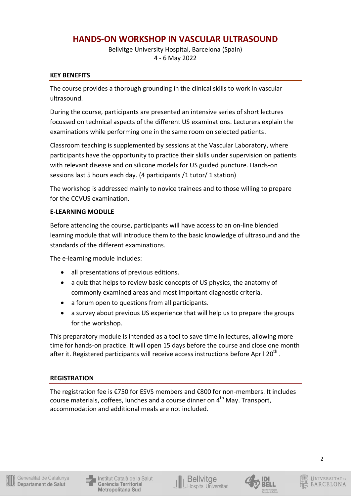## **HANDS-ON WORKSHOP IN VASCULAR ULTRASOUND**

Bellvitge University Hospital, Barcelona (Spain) 4 - 6 May 2022

#### **KEY BENEFITS**

The course provides a thorough grounding in the clinical skills to work in vascular ultrasound.

During the course, participants are presented an intensive series of short lectures focussed on technical aspects of the different US examinations. Lecturers explain the examinations while performing one in the same room on selected patients.

Classroom teaching is supplemented by sessions at the Vascular Laboratory, where participants have the opportunity to practice their skills under supervision on patients with relevant disease and on silicone models for US guided puncture. Hands-on sessions last 5 hours each day. (4 participants /1 tutor/ 1 station)

The workshop is addressed mainly to novice trainees and to those willing to prepare for the CCVUS examination.

## **E-LEARNING MODULE**

Before attending the course, participants will have access to an on-line blended learning module that will introduce them to the basic knowledge of ultrasound and the standards of the different examinations.

The e-learning module includes:

- all presentations of previous editions.
- a quiz that helps to review basic concepts of US physics, the anatomy of commonly examined areas and most important diagnostic criteria.
- a forum open to questions from all participants.
- a survey about previous US experience that will help us to prepare the groups for the workshop.

This preparatory module is intended as a tool to save time in lectures, allowing more time for hands-on practice. It will open 15 days before the course and close one month after it. Registered participants will receive access instructions before April 20<sup>th</sup>.

## **REGISTRATION**

The registration fee is €750 for ESVS members and €800 for non-members. It includes course materials, coffees, lunches and a course dinner on 4<sup>th</sup> May. Transport, accommodation and additional meals are not included.





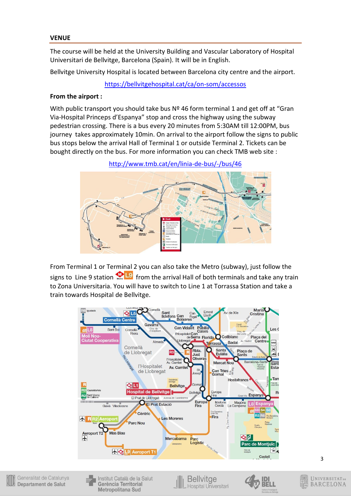The course will be held at the University Building and Vascular Laboratory of Hospital Universitari de Bellvitge, Barcelona (Spain). It will be in English.

Bellvitge University Hospital is located between Barcelona city centre and the airport.

https://bellvitgehospital.cat/ca/on-som/accessos

#### **From the airport :**

With public transport you should take bus  $N<sup>2</sup>$  46 form terminal 1 and get off at "Gran Via-Hospital Princeps d'Espanya" stop and cross the highway using the subway pedestrian crossing. There is a bus every 20 minutes from 5:30AM till 12:00PM, bus journey takes approximately 10min. On arrival to the airport follow the signs to public bus stops below the arrival Hall of Terminal 1 or outside Terminal 2. Tickets can be bought directly on the bus. For more information you can check TMB web site :

http://www.tmb.cat/en/linia-de-bus/-/bus/46



From Terminal 1 or Terminal 2 you can also take the Metro (subway), just follow the signs to Line 9 station  $\bigcirc$  L9 from the arrival Hall of both terminals and take any train to Zona Universitaria. You will have to switch to Line 1 at Torrassa Station and take a train towards Hospital de Bellvitge.





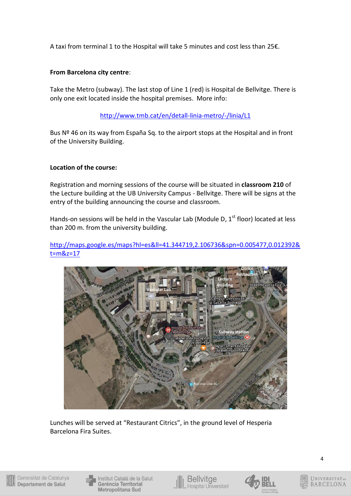A taxi from terminal 1 to the Hospital will take 5 minutes and cost less than 25€.

## **From Barcelona city centre**:

Take the Metro (subway). The last stop of Line 1 (red) is Hospital de Bellvitge. There is only one exit located inside the hospital premises. More info:

## http://www.tmb.cat/en/detall-linia-metro/-/linia/L1

Bus  $N<sup>2</sup>$  46 on its way from España Sq. to the airport stops at the Hospital and in front of the University Building.

#### **Location of the course:**

Registration and morning sessions of the course will be situated in **classroom 210** of the Lecture building at the UB University Campus - Bellvitge. There will be signs at the entry of the building announcing the course and classroom.

Hands-on sessions will be held in the Vascular Lab (Module D,  $1<sup>st</sup>$  floor) located at less than 200 m. from the university building.

http://maps.google.es/maps?hl=es&ll=41.344719,2.106736&spn=0.005477,0.012392& t=m&z=17



Lunches will be served at "Restaurant Citrics", in the ground level of Hesperia Barcelona Fira Suites.



Institut Català de la Salut Gerència Territorial Metropolitana Sud



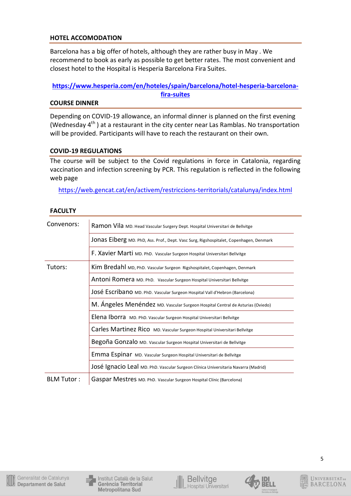#### **HOTEL ACCOMODATION**

Barcelona has a big offer of hotels, although they are rather busy in May . We recommend to book as early as possible to get better rates. The most convenient and closest hotel to the Hospital is Hesperia Barcelona Fira Suites.

## **https://www.hesperia.com/en/hoteles/spain/barcelona/hotel-hesperia-barcelonafira-suites**

#### **COURSE DINNER**

Depending on COVID-19 allowance, an informal dinner is planned on the first evening (Wednesday  $4^{\text{th}}$  ) at a restaurant in the city center near Las Ramblas. No transportation will be provided. Participants will have to reach the restaurant on their own.

#### **COVID-19 REGULATIONS**

The course will be subject to the Covid regulations in force in Catalonia, regarding vaccination and infection screening by PCR. This regulation is reflected in the following web page

https://web.gencat.cat/en/activem/restriccions-territorials/catalunya/index.html

| Convenors: | Ramon Vila MD. Head Vascular Surgery Dept. Hospital Universitari de Bellvitge          |  |  |  |  |
|------------|----------------------------------------------------------------------------------------|--|--|--|--|
|            | JONAS Eiberg MD. PhD, Ass. Prof., Dept. Vasc Surg, Rigshospitalet, Copenhagen, Denmark |  |  |  |  |
|            | F. Xavier Marti MD. PhD. Vascular Surgeon Hospital Universitari Bellvitge              |  |  |  |  |
| Tutors:    | Kim Bredahl MD, PhD. Vascular Surgeon Rigshospitalet, Copenhagen, Denmark              |  |  |  |  |
|            | Antoni Romera MD. PhD. Vascular Surgeon Hospital Universitari Bellvitge                |  |  |  |  |
|            | JOSÉ ESCribanO MD. PhD. Vascular Surgeon Hospital Vall d'Hebron (Barcelona)            |  |  |  |  |
|            | M. Ángeles Menéndez MD. Vascular Surgeon Hospital Central de Asturias (Oviedo)         |  |  |  |  |
|            | Elena Iborra MD. PhD. Vascular Surgeon Hospital Universitari Bellvitge                 |  |  |  |  |
|            | Carles Martinez Rico MD. Vascular Surgeon Hospital Universitari Bellvitge              |  |  |  |  |
|            | Begoña Gonzalo MD. Vascular Surgeon Hospital Universitari de Bellvitge                 |  |  |  |  |
|            | Emma Espinar MD. Vascular Surgeon Hospital Universitari de Bellvitge                   |  |  |  |  |
|            | JOSé Ignacio Leal MD. PhD. Vascular Surgeon Clínica Universitaria Navarra (Madrid)     |  |  |  |  |
| BLM Tutor: | Gaspar Mestres MD. PhD. Vascular Surgeon Hospital Clínic (Barcelona)                   |  |  |  |  |